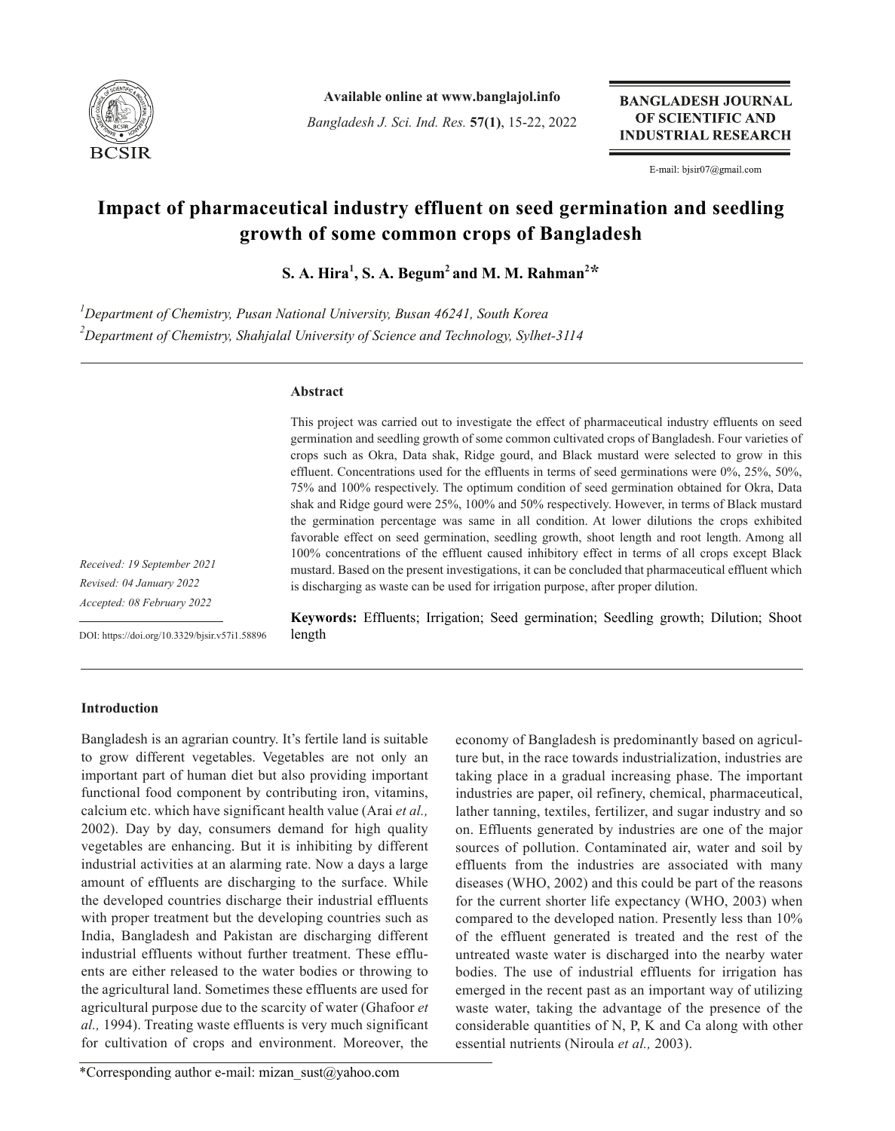

**Available online at www.banglajol.info**

*Bangladesh J. Sci. Ind. Res.* **57(1)**, 15-22, 2022

**BANGLADESH JOURNAL** OF SCIENTIFIC AND **INDUSTRIAL RESEARCH** 

E-mail: bjsir07@gmail.com

# **Impact of pharmaceutical industry effluent on seed germination and seedling growth of some common crops of Bangladesh**

 $\mathbf{S}.$  A. Hira<sup>1</sup>, S. A. Begum<sup>2</sup> and M. M. Rahman<sup>2</sup>\*

*1 Department of Chemistry, Pusan National University, Busan 46241, South Korea 2 Department of Chemistry, Shahjalal University of Science and Technology, Sylhet-3114*

# **Abstract**

This project was carried out to investigate the effect of pharmaceutical industry effluents on seed germination and seedling growth of some common cultivated crops of Bangladesh. Four varieties of crops such as Okra, Data shak, Ridge gourd, and Black mustard were selected to grow in this effluent. Concentrations used for the effluents in terms of seed germinations were 0%, 25%, 50%, 75% and 100% respectively. The optimum condition of seed germination obtained for Okra, Data shak and Ridge gourd were 25%, 100% and 50% respectively. However, in terms of Black mustard the germination percentage was same in all condition. At lower dilutions the crops exhibited favorable effect on seed germination, seedling growth, shoot length and root length. Among all 100% concentrations of the effluent caused inhibitory effect in terms of all crops except Black mustard. Based on the present investigations, it can be concluded that pharmaceutical effluent which is discharging as waste can be used for irrigation purpose, after proper dilution.

*Received: 19 September 2021 Revised: 04 January 2022 Accepted: 08 February 2022*

DOI: https://doi.org/10.3329/bjsir.v57i1.58896

**Keywords:** Effluents; Irrigation; Seed germination; Seedling growth; Dilution; Shoot length

## **Introduction**

Bangladesh is an agrarian country. It's fertile land is suitable to grow different vegetables. Vegetables are not only an important part of human diet but also providing important functional food component by contributing iron, vitamins, calcium etc. which have significant health value (Arai *et al.,* 2002). Day by day, consumers demand for high quality vegetables are enhancing. But it is inhibiting by different industrial activities at an alarming rate. Now a days a large amount of effluents are discharging to the surface. While the developed countries discharge their industrial effluents with proper treatment but the developing countries such as India, Bangladesh and Pakistan are discharging different industrial effluents without further treatment. These effluents are either released to the water bodies or throwing to the agricultural land. Sometimes these effluents are used for agricultural purpose due to the scarcity of water (Ghafoor *et al.,* 1994). Treating waste effluents is very much significant for cultivation of crops and environment. Moreover, the

economy of Bangladesh is predominantly based on agriculture but, in the race towards industrialization, industries are taking place in a gradual increasing phase. The important industries are paper, oil refinery, chemical, pharmaceutical, lather tanning, textiles, fertilizer, and sugar industry and so on. Effluents generated by industries are one of the major sources of pollution. Contaminated air, water and soil by effluents from the industries are associated with many diseases (WHO, 2002) and this could be part of the reasons for the current shorter life expectancy (WHO, 2003) when compared to the developed nation. Presently less than 10% of the effluent generated is treated and the rest of the untreated waste water is discharged into the nearby water bodies. The use of industrial effluents for irrigation has emerged in the recent past as an important way of utilizing waste water, taking the advantage of the presence of the considerable quantities of N, P, K and Ca along with other essential nutrients (Niroula *et al.,* 2003).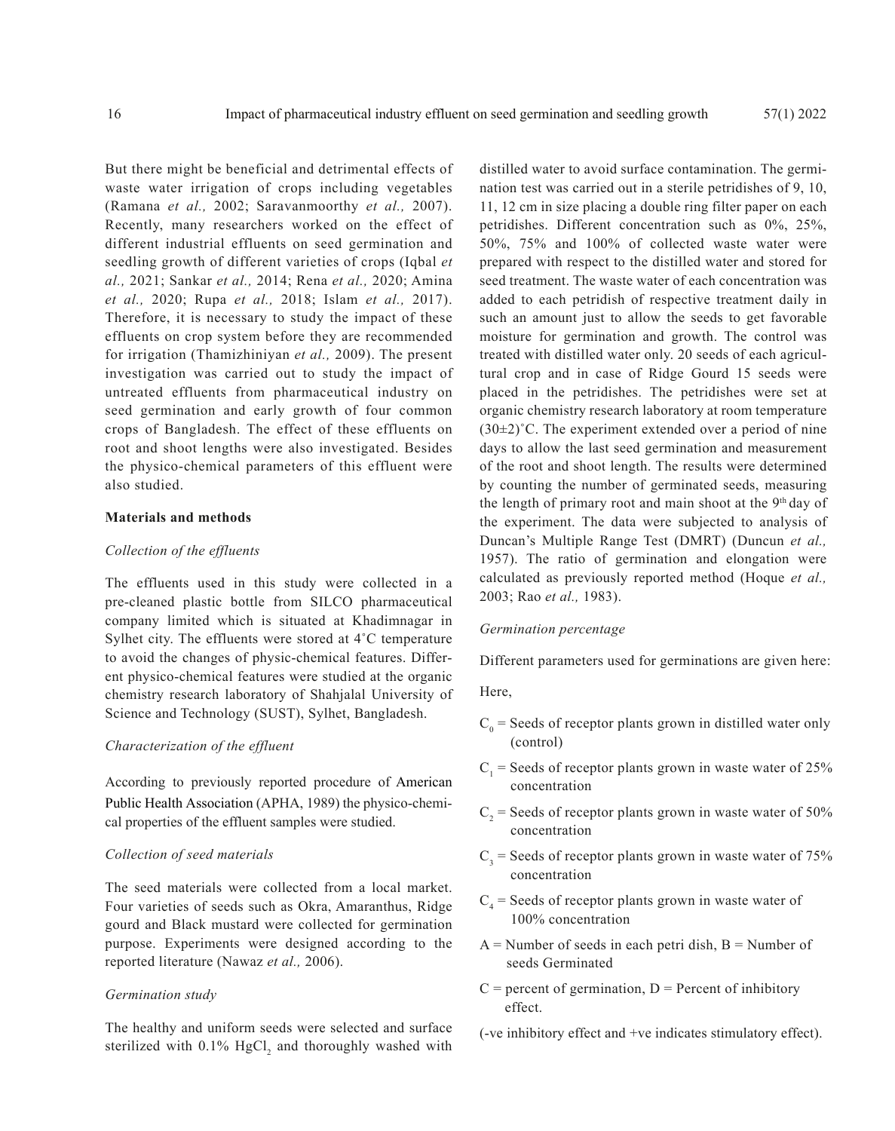But there might be beneficial and detrimental effects of waste water irrigation of crops including vegetables (Ramana *et al.,* 2002; Saravanmoorthy *et al.,* 2007). Recently, many researchers worked on the effect of different industrial effluents on seed germination and seedling growth of different varieties of crops (Iqbal *et al.,* 2021; Sankar *et al.,* 2014; Rena *et al.,* 2020; Amina *et al.,* 2020; Rupa *et al.,* 2018; Islam *et al.,* 2017). Therefore, it is necessary to study the impact of these effluents on crop system before they are recommended for irrigation (Thamizhiniyan *et al.,* 2009). The present investigation was carried out to study the impact of untreated effluents from pharmaceutical industry on seed germination and early growth of four common crops of Bangladesh. The effect of these effluents on root and shoot lengths were also investigated. Besides the physico-chemical parameters of this effluent were also studied.

# **Materials and methods**

## *Collection of the effluents*

The effluents used in this study were collected in a pre-cleaned plastic bottle from SILCO pharmaceutical company limited which is situated at Khadimnagar in Sylhet city. The effluents were stored at 4˚C temperature to avoid the changes of physic-chemical features. Different physico-chemical features were studied at the organic chemistry research laboratory of Shahjalal University of Science and Technology (SUST), Sylhet, Bangladesh.

## *Characterization of the effluent*

According to previously reported procedure of American Public Health Association (APHA, 1989) the physico-chemical properties of the effluent samples were studied.

## *Collection of seed materials*

The seed materials were collected from a local market. Four varieties of seeds such as Okra, Amaranthus, Ridge gourd and Black mustard were collected for germination purpose. Experiments were designed according to the reported literature (Nawaz *et al.,* 2006).

#### *Germination study*

The healthy and uniform seeds were selected and surface sterilized with  $0.1\%$  HgCl<sub>2</sub> and thoroughly washed with distilled water to avoid surface contamination. The germination test was carried out in a sterile petridishes of 9, 10, 11, 12 cm in size placing a double ring filter paper on each petridishes. Different concentration such as 0%, 25%, 50%, 75% and 100% of collected waste water were prepared with respect to the distilled water and stored for seed treatment. The waste water of each concentration was added to each petridish of respective treatment daily in such an amount just to allow the seeds to get favorable moisture for germination and growth. The control was treated with distilled water only. 20 seeds of each agricultural crop and in case of Ridge Gourd 15 seeds were placed in the petridishes. The petridishes were set at organic chemistry research laboratory at room temperature  $(30\pm2)$ °C. The experiment extended over a period of nine days to allow the last seed germination and measurement of the root and shoot length. The results were determined by counting the number of germinated seeds, measuring the length of primary root and main shoot at the  $9<sup>th</sup>$  day of the experiment. The data were subjected to analysis of Duncan's Multiple Range Test (DMRT) (Duncun *et al.,* 1957). The ratio of germination and elongation were calculated as previously reported method (Hoque *et al.,* 2003; Rao *et al.,* 1983).

### *Germination percentage*

Different parameters used for germinations are given here:

Here,

- $C_0$  = Seeds of receptor plants grown in distilled water only (control)
- $C_1$  = Seeds of receptor plants grown in waste water of 25% concentration
- $C_2$  = Seeds of receptor plants grown in waste water of 50% concentration
- $C_3$  = Seeds of receptor plants grown in waste water of 75% concentration
- $C_4$  = Seeds of receptor plants grown in waste water of 100% concentration
- $A =$  Number of seeds in each petri dish,  $B =$  Number of seeds Germinated
- $C =$  percent of germination,  $D =$  Percent of inhibitory effect.
- (-ve inhibitory effect and +ve indicates stimulatory effect).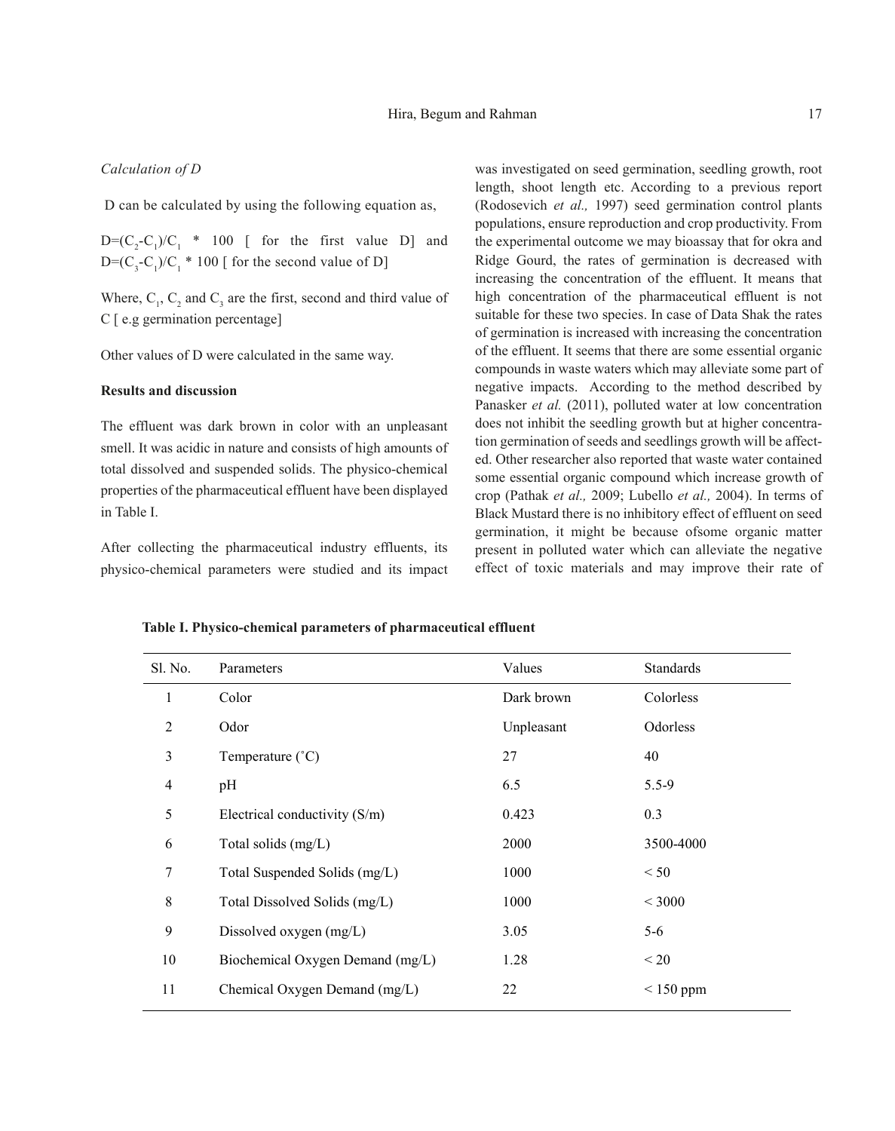## *Calculation of D*

D can be calculated by using the following equation as,

 $D=(C_2-C_1)/C_1$  \* 100 [ for the first value D] and  $D=(C_3-C_1)/C_1$  \* 100 [ for the second value of D]

Where,  $C_1$ ,  $C_2$  and  $C_3$  are the first, second and third value of C [ e.g germination percentage]

Other values of D were calculated in the same way.

## **Results and discussion**

The effluent was dark brown in color with an unpleasant smell. It was acidic in nature and consists of high amounts of total dissolved and suspended solids. The physico-chemical properties of the pharmaceutical effluent have been displayed in Table I.

After collecting the pharmaceutical industry effluents, its physico-chemical parameters were studied and its impact

was investigated on seed germination, seedling growth, root length, shoot length etc. According to a previous report (Rodosevich *et al.,* 1997) seed germination control plants populations, ensure reproduction and crop productivity. From the experimental outcome we may bioassay that for okra and Ridge Gourd, the rates of germination is decreased with increasing the concentration of the effluent. It means that high concentration of the pharmaceutical effluent is not suitable for these two species. In case of Data Shak the rates of germination is increased with increasing the concentration of the effluent. It seems that there are some essential organic compounds in waste waters which may alleviate some part of negative impacts. According to the method described by Panasker *et al.* (2011), polluted water at low concentration does not inhibit the seedling growth but at higher concentration germination of seeds and seedlings growth will be affected. Other researcher also reported that waste water contained some essential organic compound which increase growth of crop (Pathak *et al.,* 2009; Lubello *et al.,* 2004). In terms of Black Mustard there is no inhibitory effect of effluent on seed germination, it might be because ofsome organic matter present in polluted water which can alleviate the negative effect of toxic materials and may improve their rate of

**Table I. Physico-chemical parameters of pharmaceutical effluent**

| Sl. No. | Parameters                       | Values     | Standards   |
|---------|----------------------------------|------------|-------------|
| 1       | Color                            | Dark brown | Colorless   |
| 2       | Odor                             | Unpleasant | Odorless    |
| 3       | Temperature (°C)                 | 27         | 40          |
| 4       | pH                               | 6.5        | $5.5 - 9$   |
| 5       | Electrical conductivity (S/m)    | 0.423      | 0.3         |
| 6       | Total solids (mg/L)              | 2000       | 3500-4000   |
| 7       | Total Suspended Solids (mg/L)    | 1000       | < 50        |
| 8       | Total Dissolved Solids (mg/L)    | 1000       | ${}<$ 3000  |
| 9       | Dissolved oxygen (mg/L)          | 3.05       | $5-6$       |
| 10      | Biochemical Oxygen Demand (mg/L) | 1.28       | < 20        |
| 11      | Chemical Oxygen Demand (mg/L)    | 22         | $< 150$ ppm |
|         |                                  |            |             |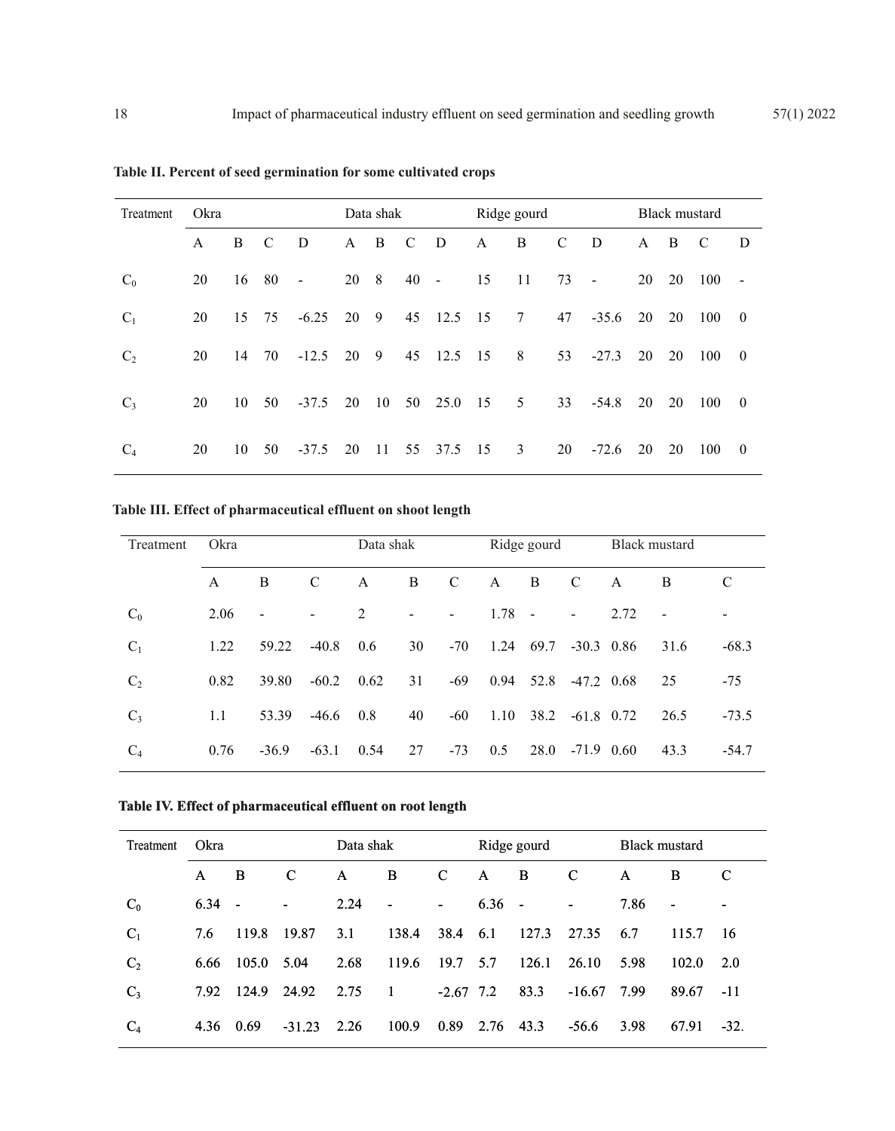| Treatment      | Okra         |    |               |                |    | Data shak      |             |            | Ridge gourd |    |               |                | Black mustard |    |     |                  |
|----------------|--------------|----|---------------|----------------|----|----------------|-------------|------------|-------------|----|---------------|----------------|---------------|----|-----|------------------|
|                | $\mathsf{A}$ | B  | $\mathcal{C}$ | D              | A  | B              | $\mathbf C$ | D          | A           | B  | $\mathcal{C}$ | D              | A             | B  | C   | D                |
| $C_0$          | 20           | 16 | 80            | $\blacksquare$ | 20 | 8 <sup>8</sup> | 40          | $\sim$ $-$ | 15          | 11 | 73            | $\blacksquare$ | 20            | 20 | 100 | $\overline{a}$   |
| $C_1$          | 20           | 15 | 75            | $-6.25$        | 20 | 9              | 45          | 12.5       | 15          | 7  | 47            | $-35.6$        | 20            | 20 | 100 | $\overline{0}$   |
| C <sub>2</sub> | 20           | 14 | 70            | $-12.5$        | 20 | - 9            | 45          | 12.5       | 15          | 8  | 53            | $-27.3$        | 20            | 20 | 100 | $\overline{0}$   |
| $C_3$          | 20           | 10 | 50            | $-37.5$        | 20 | 10             |             | 50 25.0    | 15          | 5  | 33            | $-54.8$        | 20            | 20 | 100 | $\overline{0}$   |
| $C_4$          | 20           | 10 | 50            | $-37.5$        | 20 | 11             | 55          | 37.5       | 15          | 3  | 20            | $-72.6$        | 20            | 20 | 100 | $\boldsymbol{0}$ |

**Table II. Percent of seed germination for some cultivated crops**

**Table III. Effect of pharmaceutical effluent on shoot length**

| Treatment      | Okra |                          | Data shak     |      |                          | Ridge gourd    |      |        | Black mustard            |      |      |         |
|----------------|------|--------------------------|---------------|------|--------------------------|----------------|------|--------|--------------------------|------|------|---------|
|                | A    | B                        | $\mathcal{C}$ | A    | B                        | $\mathbf C$    | A    | B      | $\mathcal{C}$            | A    | B    | C       |
| $C_0$          | 2.06 | $\overline{\phantom{a}}$ | -             | 2    | $\overline{\phantom{a}}$ | $\blacksquare$ | 1.78 | $\sim$ | $\overline{\phantom{a}}$ | 2.72 | ٠    |         |
| $C_1$          | 1.22 | 59.22                    | $-40.8$       | 0.6  | 30                       | $-70$          | 1.24 | 69.7   | $-30.3$ 0.86             |      | 31.6 | $-68.3$ |
| C <sub>2</sub> | 0.82 | 39.80                    | $-60.2$       | 0.62 | 31                       | $-69$          | 0.94 | 52.8   | $-47.2$ 0.68             |      | 25   | $-75$   |
| $C_3$          | 1.1  | 53.39                    | $-46.6$       | 0.8  | 40                       | $-60$          | 1.10 | 38.2   | $-61.8$ 0.72             |      | 26.5 | $-73.5$ |
| $C_4$          | 0.76 | $-36.9$                  | $-63.1$       | 0.54 | 27                       | $-73$          | 0.5  | 28.0   | $-71.9$ 0.60             |      | 43.3 | $-54.7$ |

**Table IV. Effect of pharmaceutical effluent on root length**

| Treatment      | <b>Okra</b> |                |                          | Data shak    |                          |             | Ridge gourd  |       |                          | <b>Black mustard</b> |                |                          |
|----------------|-------------|----------------|--------------------------|--------------|--------------------------|-------------|--------------|-------|--------------------------|----------------------|----------------|--------------------------|
|                | A           | B.             | C                        | $\mathsf{A}$ | B                        | $\mathbf C$ | $\mathsf{A}$ | B     | C                        | $\mathsf{A}$         | B              | C                        |
| $C_0$          | 6.34        | $\blacksquare$ | $\overline{\phantom{a}}$ | 2.24         | $\overline{\phantom{a}}$ | $\sim$      | $6.36 -$     |       | $\overline{\phantom{a}}$ | 7.86                 | $\blacksquare$ | $\overline{\phantom{a}}$ |
| $C_1$          | 7.6         | 119.8          | 19.87                    | 3.1          | 138.4                    | 38.4        | 6.1          | 127.3 | 27.35                    | 6.7                  | 115.7          | -16                      |
| C <sub>2</sub> | 6.66        | 105.0          | 5.04                     | 2.68         | 119.6                    | 19.7        | 5.7          | 126.1 | 26.10                    | 5.98                 | 102.0          | 2.0                      |
| $C_3$          | 7.92        | 124.9          | 24.92                    | 2.75         | -1                       | $-2.67$ 7.2 |              | 83.3  | $-16.67$                 | 7.99                 | 89.67          | $-11$                    |
| $C_4$          | 4.36        | 0.69           | $-31.23$                 | 2.26         | 100.9                    | 0.89        | 2.76 43.3    |       | $-56.6$                  | 3.98                 | 67.91          | $-32.$                   |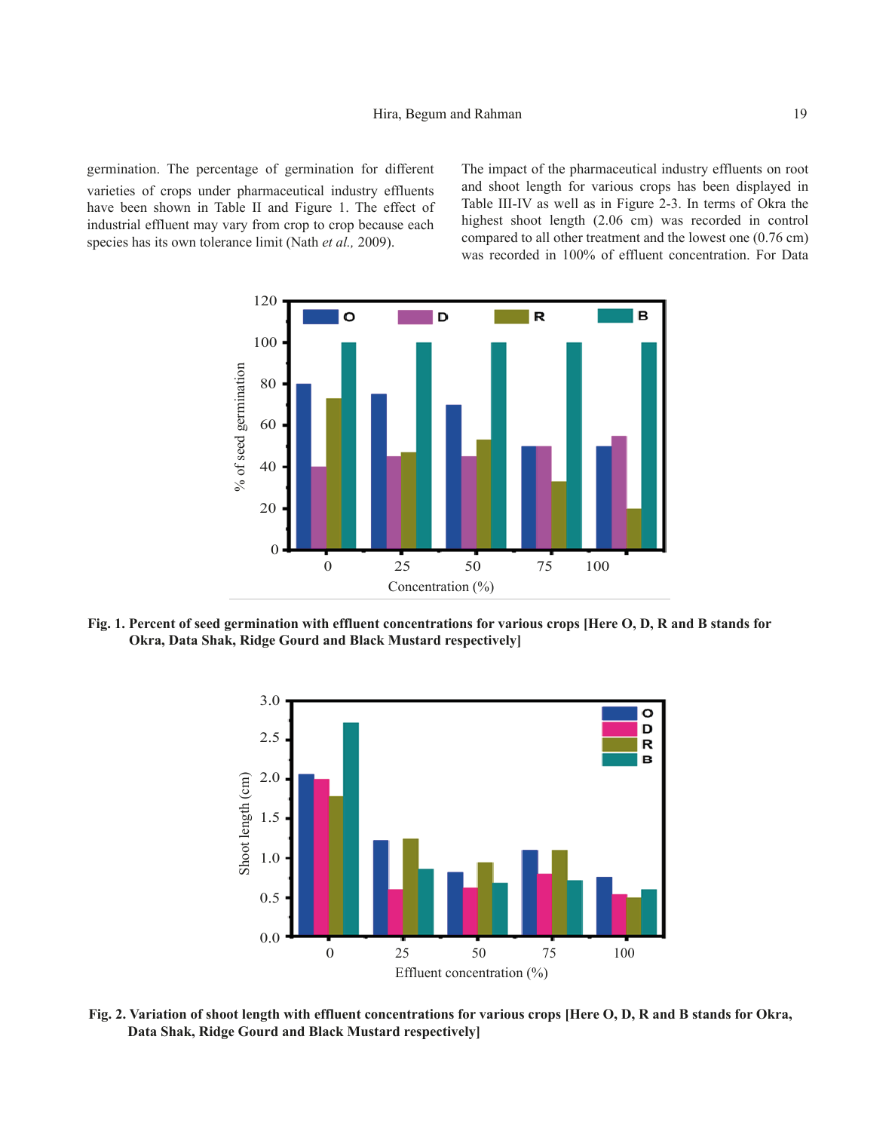germination. The percentage of germination for different varieties of crops under pharmaceutical industry effluents have been shown in Table II and Figure 1. The effect of industrial effluent may vary from crop to crop because each species has its own tolerance limit (Nath *et al.,* 2009).

The impact of the pharmaceutical industry effluents on root and shoot length for various crops has been displayed in Table III-IV as well as in Figure 2-3. In terms of Okra the highest shoot length (2.06 cm) was recorded in control compared to all other treatment and the lowest one (0.76 cm) was recorded in 100% of effluent concentration. For Data



**Fig. 1. Percent of seed germination with effluent concentrations for various crops [Here O, D, R and B stands for Okra, Data Shak, Ridge Gourd and Black Mustard respectively]**



**Fig. 2. Variation of shoot length with effluent concentrations for various crops [Here O, D, R and B stands for Okra, Data Shak, Ridge Gourd and Black Mustard respectively]**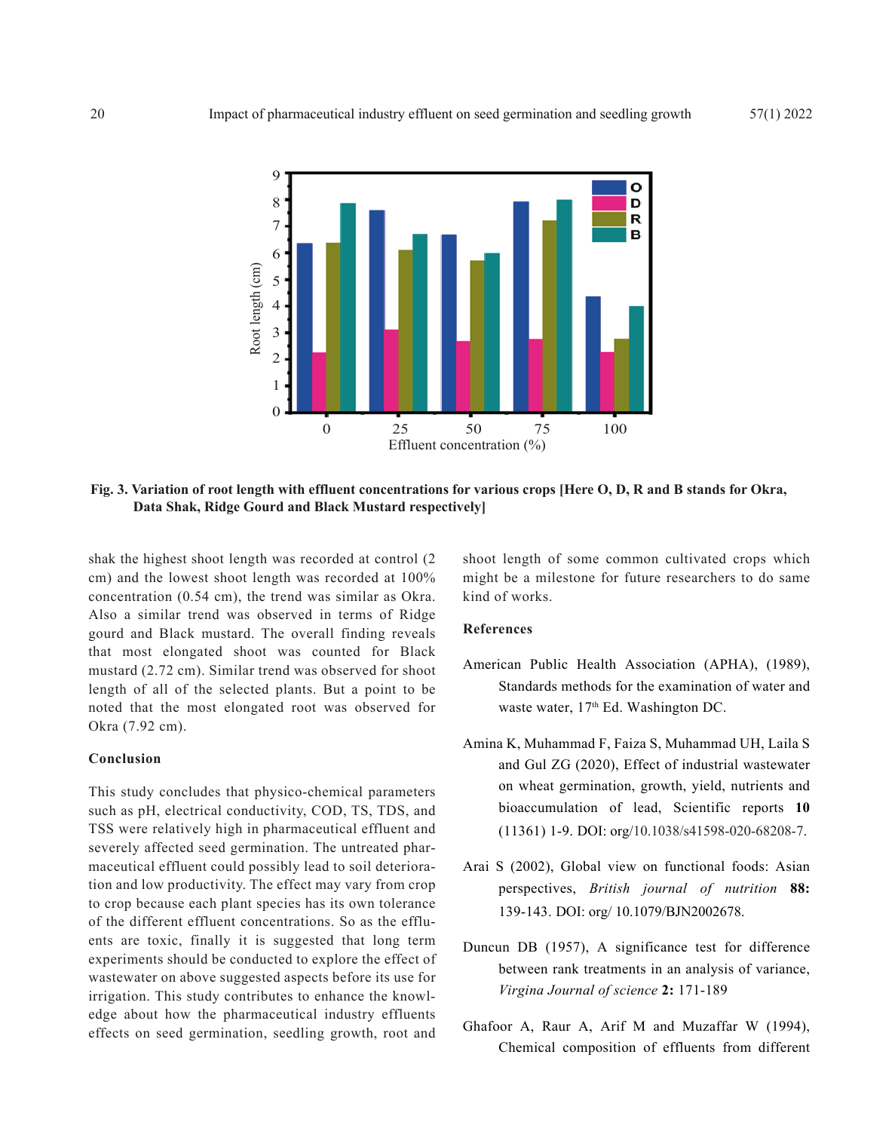

**Fig. 3. Variation of root length with effluent concentrations for various crops [Here O, D, R and B stands for Okra, Data Shak, Ridge Gourd and Black Mustard respectively]**

shak the highest shoot length was recorded at control (2 cm) and the lowest shoot length was recorded at 100% concentration (0.54 cm), the trend was similar as Okra. Also a similar trend was observed in terms of Ridge gourd and Black mustard. The overall finding reveals that most elongated shoot was counted for Black mustard (2.72 cm). Similar trend was observed for shoot length of all of the selected plants. But a point to be noted that the most elongated root was observed for Okra (7.92 cm).

# **Conclusion**

This study concludes that physico-chemical parameters such as pH, electrical conductivity, COD, TS, TDS, and TSS were relatively high in pharmaceutical effluent and severely affected seed germination. The untreated pharmaceutical effluent could possibly lead to soil deterioration and low productivity. The effect may vary from crop to crop because each plant species has its own tolerance of the different effluent concentrations. So as the effluents are toxic, finally it is suggested that long term experiments should be conducted to explore the effect of wastewater on above suggested aspects before its use for irrigation. This study contributes to enhance the knowledge about how the pharmaceutical industry effluents effects on seed germination, seedling growth, root and

shoot length of some common cultivated crops which might be a milestone for future researchers to do same kind of works.

## **References**

- American Public Health Association (APHA), (1989), Standards methods for the examination of water and waste water, 17<sup>th</sup> Ed. Washington DC.
- Amina K, Muhammad F, Faiza S, Muhammad UH, Laila S and Gul ZG (2020), Effect of industrial wastewater on wheat germination, growth, yield, nutrients and bioaccumulation of lead, Scientific reports **10** (11361) 1-9. DOI: org/10.1038/s41598-020-68208-7.
- Arai S (2002), Global view on functional foods: Asian perspectives, *British journal of nutrition* **88:** 139-143. DOI: org/ 10.1079/BJN2002678.
- Duncun DB (1957), A significance test for difference between rank treatments in an analysis of variance, *Virgina Journal of science* **2:** 171-189
- Ghafoor A, Raur A, Arif M and Muzaffar W (1994), Chemical composition of effluents from different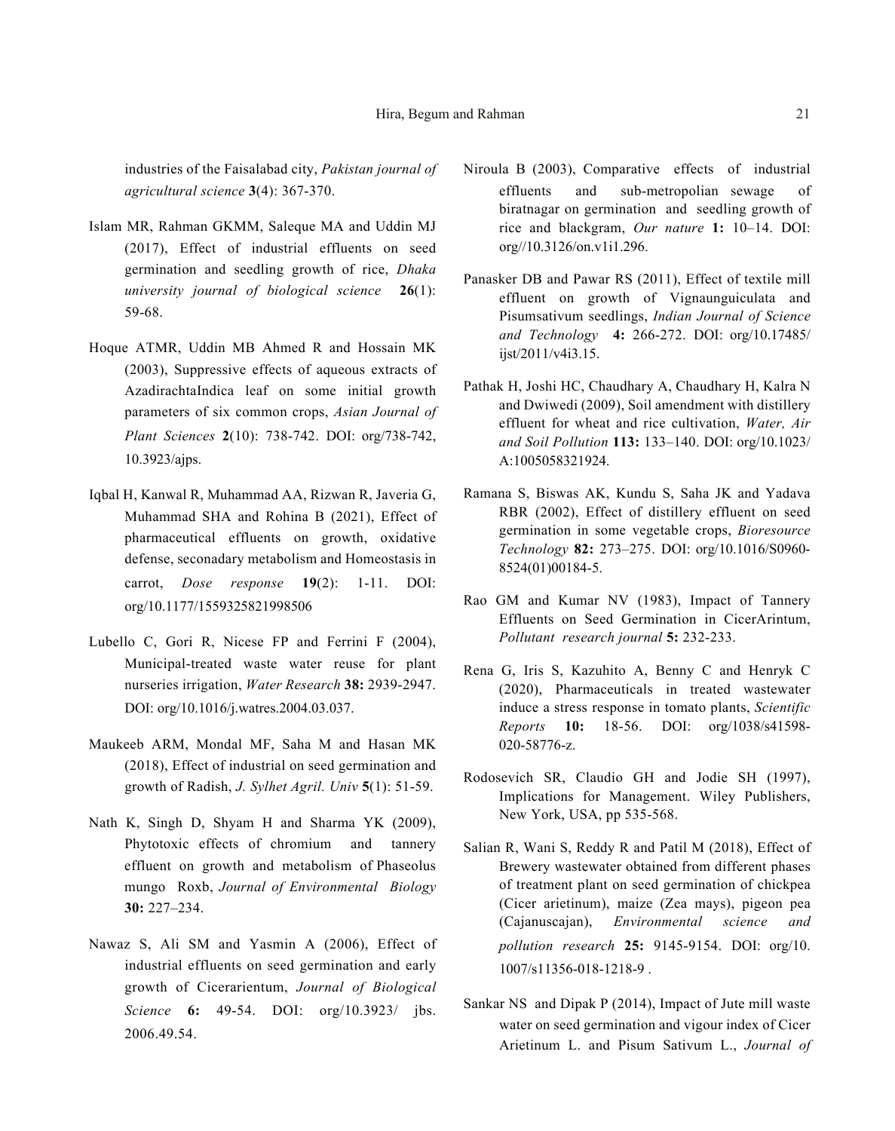industries of the Faisalabad city, *Pakistan journal of agricultural science* **3**(4): 367-370.

- Islam MR, Rahman GKMM, Saleque MA and Uddin MJ (2017), Effect of industrial effluents on seed germination and seedling growth of rice, *Dhaka university journal of biological science* **26**(1): 59-68.
- Hoque ATMR, Uddin MB Ahmed R and Hossain MK (2003), Suppressive effects of aqueous extracts of AzadirachtaIndica leaf on some initial growth parameters of six common crops, *Asian Journal of Plant Sciences* **2**(10): 738-742. DOI: org/738-742, 10.3923/ajps.
- Iqbal H, Kanwal R, Muhammad AA, Rizwan R, Javeria G, Muhammad SHA and Rohina B (2021), Effect of pharmaceutical effluents on growth, oxidative defense, seconadary metabolism and Homeostasis in carrot, *Dose response* **19**(2): 1-11. DOI: org/10.1177/1559325821998506
- Lubello C, Gori R, Nicese FP and Ferrini F (2004), Municipal-treated waste water reuse for plant nurseries irrigation, *Water Research* **38:** 2939-2947. DOI: org/10.1016/j.watres.2004.03.037.
- Maukeeb ARM, Mondal MF, Saha M and Hasan MK (2018), Effect of industrial on seed germination and growth of Radish, *J. Sylhet Agril. Univ* **5**(1): 51-59.
- Nath K, Singh D, Shyam H and Sharma YK (2009), Phytotoxic effects of chromium and tannery effluent on growth and metabolism of Phaseolus mungo Roxb, *Journal of Environmental Biology* **30:** 227–234.
- Nawaz S, Ali SM and Yasmin A (2006), Effect of industrial effluents on seed germination and early growth of Cicerarientum, *Journal of Biological Science* **6:** 49-54. DOI: org/10.3923/ jbs. 2006.49.54.
- Niroula B (2003), Comparative effects of industrial effluents and sub-metropolian sewage of biratnagar on germination and seedling growth of rice and blackgram, *Our nature* **1:** 10–14. DOI: org//10.3126/on.v1i1.296.
- Panasker DB and Pawar RS (2011), Effect of textile mill effluent on growth of Vignaunguiculata and Pisumsativum seedlings, *Indian Journal of Science and Technology* **4:** 266-272. DOI: org/10.17485/ ijst/2011/v4i3.15.
- Pathak H, Joshi HC, Chaudhary A, Chaudhary H, Kalra N and Dwiwedi (2009), Soil amendment with distillery effluent for wheat and rice cultivation, *Water, Air and Soil Pollution* **113:** 133–140. DOI: org/10.1023/ A:1005058321924.
- Ramana S, Biswas AK, Kundu S, Saha JK and Yadava RBR (2002), Effect of distillery effluent on seed germination in some vegetable crops, *Bioresource Technology* **82:** 273–275. DOI: org/10.1016/S0960- 8524(01)00184-5.
- Rao GM and Kumar NV (1983), Impact of Tannery Effluents on Seed Germination in CicerArintum, *Pollutant research journal* **5:** 232-233.
- Rena G, Iris S, Kazuhito A, Benny C and Henryk C (2020), Pharmaceuticals in treated wastewater induce a stress response in tomato plants, *Scientific Reports* **10:** 18-56. DOI: org/1038/s41598- 020-58776-z.
- Rodosevich SR, Claudio GH and Jodie SH (1997), Implications for Management. Wiley Publishers, New York, USA, pp 535-568.
- Salian R, Wani S, Reddy R and Patil M (2018), Effect of Brewery wastewater obtained from different phases of treatment plant on seed germination of chickpea (Cicer arietinum), maize (Zea mays), pigeon pea (Cajanuscajan), *Environmental science and pollution research* **25:** 9145-9154. DOI: org/10. 1007/s11356-018-1218-9 .
- Sankar NS and Dipak P (2014), Impact of Jute mill waste water on seed germination and vigour index of Cicer Arietinum L. and Pisum Sativum L., *Journal of*